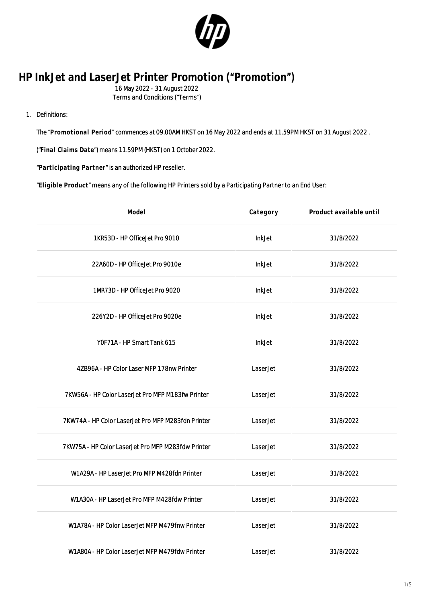

## **HP InkJet and LaserJet Printer Promotion ("Promotion")**

16 May 2022 - 31 August 2022

Terms and Conditions ("Terms")

## 1. Definitions:

The "**Promotional Period**" commences at 09.00AM HKST on 16 May 2022 and ends at 11.59PM HKST on 31 August 2022 .

("**Final Claims Date**") means 11.59PM (HKST) on 1 October 2022.

"**Participating Partner**" is an authorized HP reseller.

"**Eligible Product**" means any of the following HP Printers sold by a Participating Partner to an End User:

| Model                                              | Category      | Product available until |
|----------------------------------------------------|---------------|-------------------------|
| 1KR53D - HP OfficeJet Pro 9010                     | InkJet        | 31/8/2022               |
| 22A60D - HP Office Jet Pro 9010e                   | <b>InkJet</b> | 31/8/2022               |
| 1MR73D - HP OfficeJet Pro 9020                     | <b>InkJet</b> | 31/8/2022               |
| 226Y2D - HP OfficeJet Pro 9020e                    | <b>InkJet</b> | 31/8/2022               |
| YOF71A - HP Smart Tank 615                         | InkJet        | 31/8/2022               |
| 4ZB96A - HP Color Laser MFP 178nw Printer          | LaserJet      | 31/8/2022               |
| 7KW56A - HP Color LaserJet Pro MFP M183fw Printer  | LaserJet      | 31/8/2022               |
| 7KW74A - HP Color LaserJet Pro MFP M283fdn Printer | LaserJet      | 31/8/2022               |
| 7KW75A - HP Color LaserJet Pro MFP M283fdw Printer | LaserJet      | 31/8/2022               |
| W1A29A - HP LaserJet Pro MFP M428fdn Printer       | LaserJet      | 31/8/2022               |
| W1A30A - HP LaserJet Pro MFP M428fdw Printer       | LaserJet      | 31/8/2022               |
| W1A78A - HP Color LaserJet MFP M479fnw Printer     | LaserJet      | 31/8/2022               |
| W1A80A - HP Color LaserJet MFP M479fdw Printer     | LaserJet      | 31/8/2022               |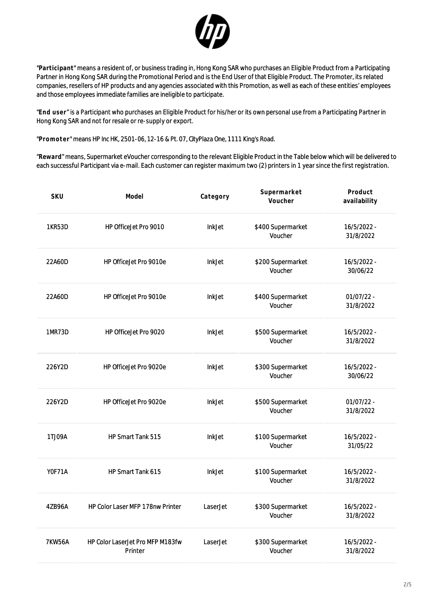

"**Participant**" means a resident of, or business trading in, Hong Kong SAR who purchases an Eligible Product from a Participating Partner in Hong Kong SAR during the Promotional Period and is the End User of that Eligible Product. The Promoter, its related companies, resellers of HP products and any agencies associated with this Promotion, as well as each of these entities' employees and those employees immediate families are ineligible to participate.

"**End user**" is a Participant who purchases an Eligible Product for his/her or its own personal use from a Participating Partner in Hong Kong SAR and not for resale or re-supply or export.

"**Promoter**" means HP Inc HK, 2501-06, 12-16 & Pt. 07, CityPlaza One, 1111 King's Road.

"**Reward**" means, Supermarket eVoucher corresponding to the relevant Eligible Product in the Table below which will be delivered to each successful Participant via e-mail. Each customer can register maximum two (2) printers in 1 year since the first registration.

| SKU           | Model                                       | Category      | Supermarket<br>Voucher       | Product<br>availability   |
|---------------|---------------------------------------------|---------------|------------------------------|---------------------------|
| <b>1KR53D</b> | HP OfficeJet Pro 9010                       | <b>InkJet</b> | \$400 Supermarket<br>Voucher | 16/5/2022 -<br>31/8/2022  |
| 22A60D        | HP OfficeJet Pro 9010e                      | <b>InkJet</b> | \$200 Supermarket<br>Voucher | 16/5/2022 -<br>30/06/22   |
| 22A60D        | HP OfficeJet Pro 9010e                      | <b>InkJet</b> | \$400 Supermarket<br>Voucher | $01/07/22 -$<br>31/8/2022 |
| 1MR73D        | HP OfficeJet Pro 9020                       | <b>InkJet</b> | \$500 Supermarket<br>Voucher | 16/5/2022 -<br>31/8/2022  |
| 226Y2D        | HP OfficeJet Pro 9020e                      | <b>InkJet</b> | \$300 Supermarket<br>Voucher | 16/5/2022 -<br>30/06/22   |
| 226Y2D        | HP OfficeJet Pro 9020e                      | <b>InkJet</b> | \$500 Supermarket<br>Voucher | $01/07/22 -$<br>31/8/2022 |
| 1TJ09A        | HP Smart Tank 515                           | <b>InkJet</b> | \$100 Supermarket<br>Voucher | 16/5/2022 -<br>31/05/22   |
| YOF71A        | HP Smart Tank 615                           | <b>InkJet</b> | \$100 Supermarket<br>Voucher | 16/5/2022 -<br>31/8/2022  |
| 4ZB96A        | HP Color Laser MFP 178nw Printer            | LaserJet      | \$300 Supermarket<br>Voucher | 16/5/2022 -<br>31/8/2022  |
| <b>7KW56A</b> | HP Color LaserJet Pro MFP M183fw<br>Printer | LaserJet      | \$300 Supermarket<br>Voucher | 16/5/2022 -<br>31/8/2022  |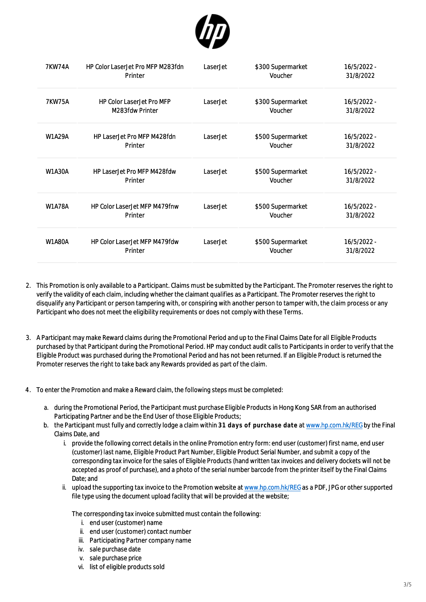

| <b>7KW74A</b> | <b>HP Color Laser Jet Pro MFP M283fdn</b><br>Printer | LaserJet | \$300 Supermarket<br>Voucher | 16/5/2022 -<br>31/8/2022 |
|---------------|------------------------------------------------------|----------|------------------------------|--------------------------|
| <b>7KW75A</b> | <b>HP Color LaserJet Pro MFP</b><br>M283fdw Printer  | LaserJet | \$300 Supermarket<br>Voucher | 16/5/2022 -<br>31/8/2022 |
| <b>W1A29A</b> | HP Laser Jet Pro MFP M428fdn<br>Printer              | LaserJet | \$500 Supermarket<br>Voucher | 16/5/2022 -<br>31/8/2022 |
| <b>W1A30A</b> | HP LaserJet Pro MFP M428fdw<br>Printer               | LaserJet | \$500 Supermarket<br>Voucher | 16/5/2022 -<br>31/8/2022 |
| <b>W1A78A</b> | <b>HP Color LaserJet MFP M479fnw</b><br>Printer      | LaserJet | \$500 Supermarket<br>Voucher | 16/5/2022 -<br>31/8/2022 |
| <b>W1A80A</b> | <b>HP Color LaserJet MFP M479fdw</b><br>Printer      | LaserJet | \$500 Supermarket<br>Voucher | 16/5/2022 -<br>31/8/2022 |

- 2. This Promotion is only available to a Participant. Claims must be submitted by the Participant. The Promoter reserves the right to verify the validity of each claim, including whether the claimant qualifies as a Participant. The Promoter reserves the right to disqualify any Participant or person tampering with, or conspiring with another person to tamper with, the claim process or any Participant who does not meet the eligibility requirements or does not comply with these Terms.
- 3. A Participant may make Reward claims during the Promotional Period and up to the Final Claims Date for all Eligible Products purchased by that Participant during the Promotional Period. HP may conduct audit calls to Participants in order to verify that the Eligible Product was purchased during the Promotional Period and has not been returned. If an Eligible Product is returned the Promoter reserves the right to take back any Rewards provided as part of the claim.
- 4. To enter the Promotion and make a Reward claim, the following steps must be completed:
	- a. during the Promotional Period, the Participant must purchase Eligible Products in Hong Kong SAR from an authorised Participating Partner and be the End User of those Eligible Products;
	- b. the Participant must fully and correctly lodge a claim within **31 days of purchase date** at [www.hp.com.hk/REG](http://www.hp.com.hk/REG) by the Final Claims Date, and
		- i. provide the following correct details in the online Promotion entry form: end user (customer) first name, end user (customer) last name, Eligible Product Part Number, Eligible Product Serial Number, and submit a copy of the corresponding tax invoice for the sales of Eligible Products (hand written tax invoices and delivery dockets will not be accepted as proof of purchase), and a photo of the serial number barcode from the printer itself by the Final Claims Date; and
		- ii. upload the supporting tax invoice to the Promotion website at [www.hp.com.hk/REG](http://www.hp.com.hk/REG) as a PDF, JPG or other supported file type using the document upload facility that will be provided at the website;

The corresponding tax invoice submitted must contain the following:

- i. end user (customer) name
- ii. end user (customer) contact number
- iii. Participating Partner company name
- iv. sale purchase date
- v. sale purchase price
- vi. list of eligible products sold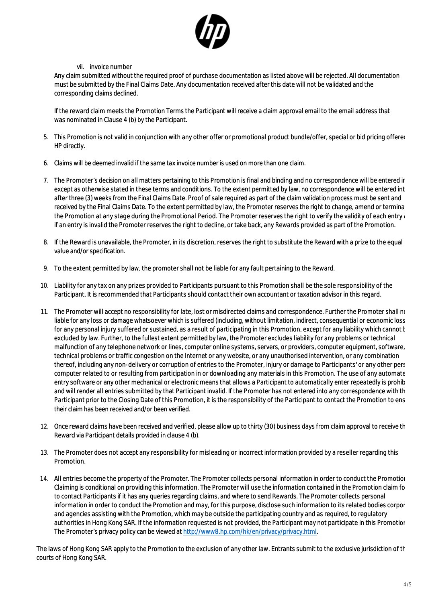

## vii. invoice number

Any claim submitted without the required proof of purchase documentation as listed above will be rejected. All documentation must be submitted by the Final Claims Date. Any documentation received after this date will not be validated and the corresponding claims declined.

If the reward claim meets the Promotion Terms the Participant will receive a claim approval email to the email address that was nominated in Clause 4 (b) by the Participant.

- 5. This Promotion is not valid in conjunction with any other offer or promotional product bundle/offer, special or bid pricing offered HP directly.
- 6. Claims will be deemed invalid if the same tax invoice number is used on more than one claim.
- 7. The Promoter's decision on all matters pertaining to this Promotion is final and binding and no correspondence will be entered in except as otherwise stated in these terms and conditions. To the extent permitted by law, no correspondence will be entered int after three (3) weeks from the Final Claims Date. Proof of sale required as part of the claim validation process must be sent and received by the Final Claims Date. To the extent permitted by law, the Promoter reserves the right to change, amend or termina the Promotion at any stage during the Promotional Period. The Promoter reserves the right to verify the validity of each entry and the Validity of each entry and the Validity of each entry and the Validity of each entry an if an entry is invalid the Promoter reserves the right to decline, or take back, any Rewards provided as part of the Promotion.
- 8. If the Reward is unavailable, the Promoter, in its discretion, reserves the right to substitute the Reward with a prize to the equal value and/or specification.
- 9. To the extent permitted by law, the promoter shall not be liable for any fault pertaining to the Reward.
- 10. Liability for any tax on any prizes provided to Participants pursuant to this Promotion shall be the sole responsibility of the Participant. It is recommended that Participants should contact their own accountant or taxation advisor in this regard.
- 11. The Promoter will accept no responsibility for late, lost or misdirected claims and correspondence. Further the Promoter shall no liable for any loss or damage whatsoever which is suffered (including, without limitation, indirect, consequential or economic loss for any personal injury suffered or sustained, as a result of participating in this Promotion, except for any liability which cannot  $l$ excluded by law. Further, to the fullest extent permitted by law, the Promoter excludes liability for any problems or technical malfunction of any telephone network or lines, computer online systems, servers, or providers, computer equipment, software, technical problems or traffic congestion on the Internet or any website, or any unauthorised intervention, or any combination thereof, including any non-delivery or corruption of entries to the Promoter, injury or damage to Participants' or any other person computer related to or resulting from participation in or downloading any materials in this Promotion. The use of any automate entry software or any other mechanical or electronic means that allows a Participant to automatically enter repeatedly is prohibited at the that is prohibited at all on the that is prohibited at all on that is prohibited a and will render all entries submitted by that Participant invalid. If the Promoter has not entered into any correspondence with the Participant prior to the Closing Date of this Promotion, it is the responsibility of the Participant to contact the Promotion to ens their claim has been received and/or been verified.
- 12. Once reward claims have been received and verified, please allow up to thirty (30) business days from claim approval to receive the Reward via Participant details provided in clause 4 (b).
- 13. The Promoter does not accept any responsibility for misleading or incorrect information provided by a reseller regarding this Promotion.
- 14. All entries become the property of the Promoter. The Promoter collects personal information in order to conduct the Promotion. Claiming is conditional on providing this information. The Promoter will use the information contained in the Promotion claim form to contact Participants if it has any queries regarding claims, and where to send Rewards. The Promoter collects personal information in order to conduct the Promotion and may, for this purpose, disclose such information to its related bodies corpor and agencies assisting with the Promotion, which may be outside the participating country and as required, to regulatory authorities in Hong Kong SAR. If the information requested is not provided, the Participant may not participate in this Promotion. The Promoter's privacy policy can be viewed at<http://www8.hp.com/hk/en/privacy/privacy.html>.

The laws of Hong Kong SAR apply to the Promotion to the exclusion of any other law. Entrants submit to the exclusive jurisdiction of the courts of Hong Kong SAR.